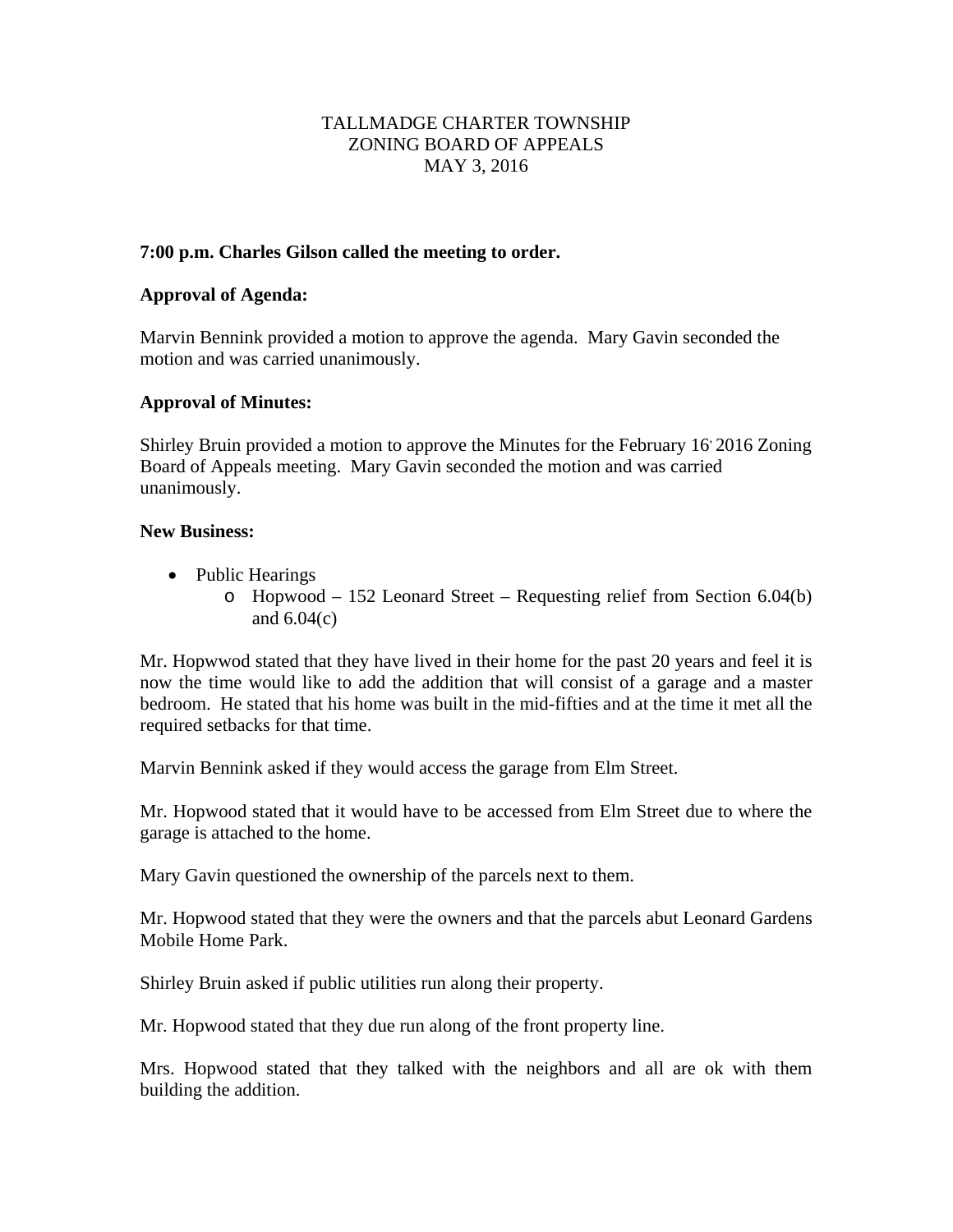# TALLMADGE CHARTER TOWNSHIP ZONING BOARD OF APPEALS MAY 3, 2016

### **7:00 p.m. Charles Gilson called the meeting to order.**

### **Approval of Agenda:**

Marvin Bennink provided a motion to approve the agenda. Mary Gavin seconded the motion and was carried unanimously.

# **Approval of Minutes:**

Shirley Bruin provided a motion to approve the Minutes for the February 16 2016 Zoning Board of Appeals meeting. Mary Gavin seconded the motion and was carried unanimously.

#### **New Business:**

- Public Hearings
	- o Hopwood 152 Leonard Street Requesting relief from Section 6.04(b) and  $6.04(c)$

Mr. Hopwwod stated that they have lived in their home for the past 20 years and feel it is now the time would like to add the addition that will consist of a garage and a master bedroom. He stated that his home was built in the mid-fifties and at the time it met all the required setbacks for that time.

Marvin Bennink asked if they would access the garage from Elm Street.

Mr. Hopwood stated that it would have to be accessed from Elm Street due to where the garage is attached to the home.

Mary Gavin questioned the ownership of the parcels next to them.

Mr. Hopwood stated that they were the owners and that the parcels abut Leonard Gardens Mobile Home Park.

Shirley Bruin asked if public utilities run along their property.

Mr. Hopwood stated that they due run along of the front property line.

Mrs. Hopwood stated that they talked with the neighbors and all are ok with them building the addition.